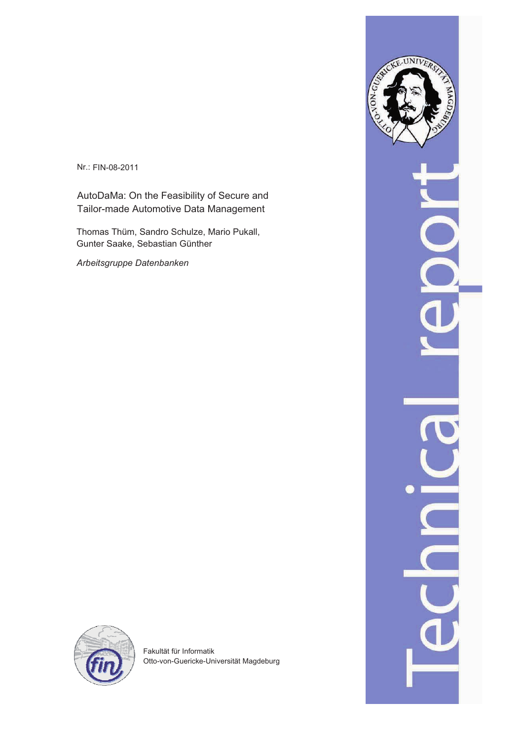Nr.: FIN-08-2011

AutoDaMa: On the Feasibility of Secure and Tailor-made Automotive Data Management

Thomas Thüm, Sandro Schulze, Mario Pukall, Gunter Saake, Sebastian Günther

*Arbeitsgruppe Datenbanken*



Fakultät für Informatik Otto-von-Guericke-Universität Magdeburg

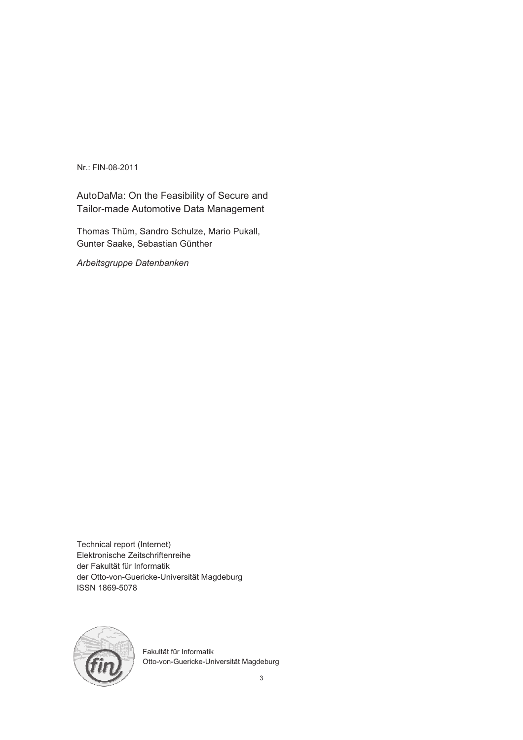Nr.: FIN-08-2011

AutoDaMa: On the Feasibility of Secure and Tailor-made Automotive Data Management

Thomas Thüm, Sandro Schulze, Mario Pukall, Gunter Saake, Sebastian Günther

*Arbeitsgruppe Datenbanken*

Technical report (Internet) Elektronische Zeitschriftenreihe der Fakultät für Informatik der Otto-von-Guericke-Universität Magdeburg ISSN 1869-5078



Fakultät für Informatik Otto-von-Guericke-Universität Magdeburg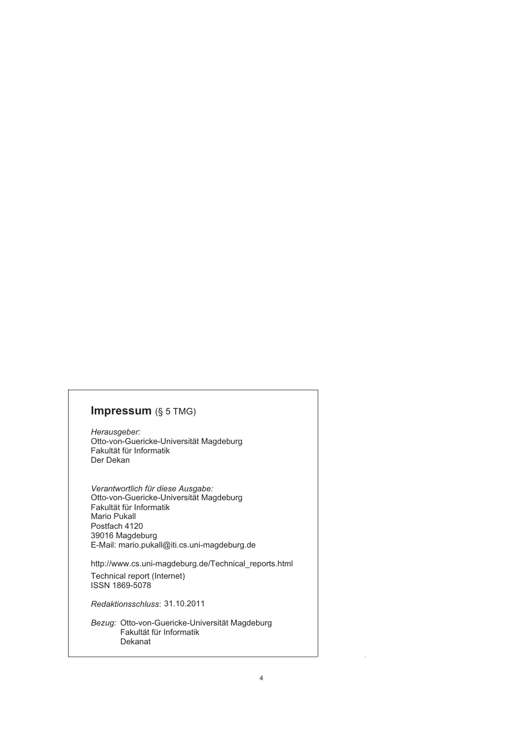# **Impressum** (§ 5 TMG)

*Herausgeber:*  Otto-von-Guericke-Universität Magdeburg Fakultät für Informatik Der Dekan

*Verantwortlich für diese Ausgabe:*  Otto-von-Guericke-Universität Magdeburg Fakultät für Informatik Postfach 4120 39016 Magdeburg E-Mail: mario.pukall@iti.cs.uni-magdeburg.de Mario Pukall

http://www.cs.uni-magdeburg.de/Technical\_reports.html Technical report (Internet) ISSN 1869-5078

*Redaktionsschluss*: 31.10.2011

*Bezug:* Otto-von-Guericke-Universität Magdeburg Fakultät für Informatik Dekanat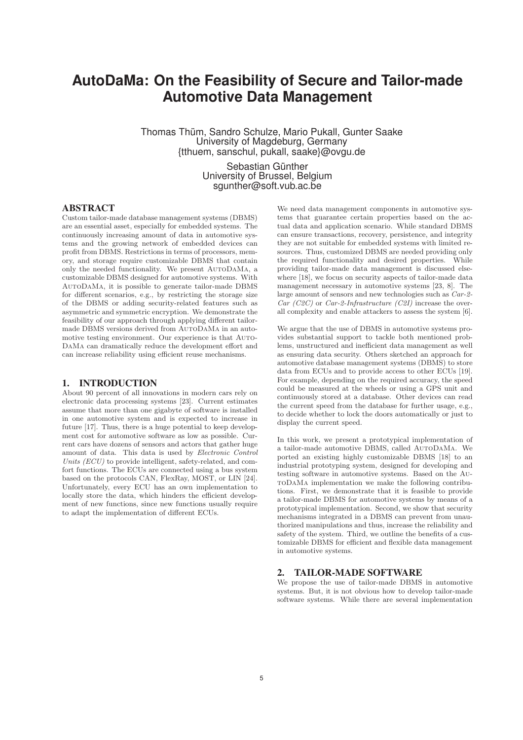# **AutoDaMa: On the Feasibility of Secure and Tailor-made Automotive Data Management**

Thomas Thüm, Sandro Schulze, Mario Pukall, Gunter Saake University of Magdeburg, Germany {tthuem, sanschul, pukall, saake}@ovgu.de

> Sebastian Günther University of Brussel, Belgium sgunther@soft.vub.ac.be

# ABSTRACT

Custom tailor-made database management systems (DBMS) are an essential asset, especially for embedded systems. The continuously increasing amount of data in automotive systems and the growing network of embedded devices can profit from DBMS. Restrictions in terms of processors, memory, and storage require customizable DBMS that contain only the needed functionality. We present AutoDaMa, a customizable DBMS designed for automotive systems. With AutoDaMa, it is possible to generate tailor-made DBMS for different scenarios, e.g., by restricting the storage size of the DBMS or adding security-related features such as asymmetric and symmetric encryption. We demonstrate the feasibility of our approach through applying different tailormade DBMS versions derived from AUTODAMA in an automotive testing environment. Our experience is that Auto-DaMa can dramatically reduce the development effort and can increase reliability using efficient reuse mechanisms.

# 1. INTRODUCTION

About 90 percent of all innovations in modern cars rely on electronic data processing systems [23]. Current estimates assume that more than one gigabyte of software is installed in one automotive system and is expected to increase in future [17]. Thus, there is a huge potential to keep development cost for automotive software as low as possible. Current cars have dozens of sensors and actors that gather huge amount of data. This data is used by *Electronic Control Units (ECU)* to provide intelligent, safety-related, and comfort functions. The ECUs are connected using a bus system based on the protocols CAN, FlexRay, MOST, or LIN [24]. Unfortunately, every ECU has an own implementation to locally store the data, which hinders the efficient development of new functions, since new functions usually require to adapt the implementation of different ECUs.

We need data management components in automotive systems that guarantee certain properties based on the actual data and application scenario. While standard DBMS can ensure transactions, recovery, persistence, and integrity they are not suitable for embedded systems with limited resources. Thus, customized DBMS are needed providing only the required functionality and desired properties. While providing tailor-made data management is discussed elsewhere [18], we focus on security aspects of tailor-made data management necessary in automotive systems [23, 8]. The large amount of sensors and new technologies such as *Car-2- Car (C2C)* or *Car-2-Infrastructure (C2I)* increase the overall complexity and enable attackers to assess the system [6].

We argue that the use of DBMS in automotive systems provides substantial support to tackle both mentioned problems, unstructured and inefficient data management as well as ensuring data security. Others sketched an approach for automotive database management systems (DBMS) to store data from ECUs and to provide access to other ECUs [19]. For example, depending on the required accuracy, the speed could be measured at the wheels or using a GPS unit and continuously stored at a database. Other devices can read the current speed from the database for further usage, e.g., to decide whether to lock the doors automatically or just to display the current speed.

In this work, we present a prototypical implementation of a tailor-made automotive DBMS, called AutoDaMa. We ported an existing highly customizable DBMS [18] to an industrial prototyping system, designed for developing and testing software in automotive systems. Based on the AutoDaMa implementation we make the following contributions. First, we demonstrate that it is feasible to provide a tailor-made DBMS for automotive systems by means of a prototypical implementation. Second, we show that security mechanisms integrated in a DBMS can prevent from unauthorized manipulations and thus, increase the reliability and safety of the system. Third, we outline the benefits of a customizable DBMS for efficient and flexible data management in automotive systems.

## 2. TAILOR-MADE SOFTWARE

We propose the use of tailor-made DBMS in automotive systems. But, it is not obvious how to develop tailor-made software systems. While there are several implementation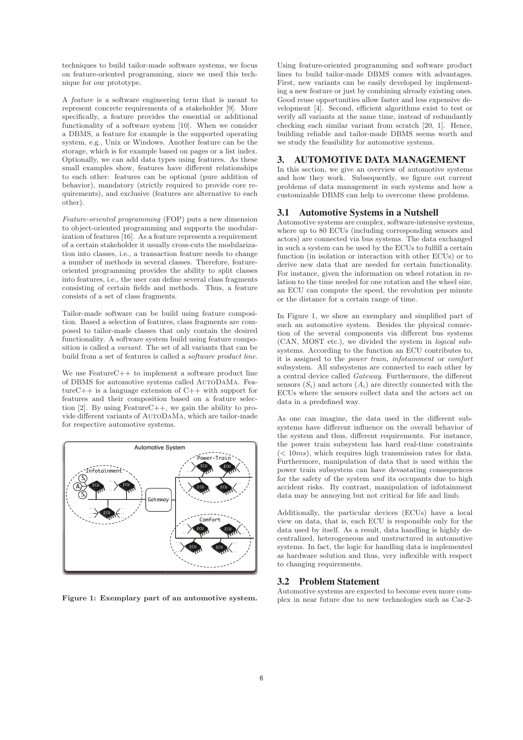techniques to build tailor-made software systems, we focus on feature-oriented programming, since we used this technique for our prototype.

A *feature* is a software engineering term that is meant to represent concrete requirements of a stakeholder [9]. More specifically, a feature provides the essential or additional functionality of a software system [10]. When we consider a DBMS, a feature for example is the supported operating system, e.g., Unix or Windows. Another feature can be the storage, which is for example based on pages or a list index. Optionally, we can add data types using features. As these small examples show, features have different relationships to each other: features can be optional (pure addition of behavior), mandatory (strictly required to provide core requirements), and exclusive (features are alternative to each other).

*Feature-oriented programming* (FOP) puts a new dimension to object-oriented programming and supports the modularization of features [16]. As a feature represents a requirement of a certain stakeholder it usually cross-cuts the modularization into classes, i.e., a transaction feature needs to change a number of methods in several classes. Therefore, featureoriented programming provides the ability to split classes into features, i.e., the user can define several class fragments consisting of certain fields and methods. Thus, a feature consists of a set of class fragments.

Tailor-made software can be build using feature composition. Based a selection of features, class fragments are composed to tailor-made classes that only contain the desired functionality. A software system build using feature composition is called a *variant*. The set of all variants that can be build from a set of features is called a *software product line*.

We use FeatureC++ to implement a software product line of DBMS for automotive systems called AutoDaMa. FeatureC++ is a language extension of C++ with support for features and their composition based on a feature selection [2]. By using FeatureC++, we gain the ability to provide different variants of AutoDaMa, which are tailor-made for respective automotive systems.



**Figure 1: Exemplary part of an automotive system.**

Using feature-oriented programming and software product lines to build tailor-made DBMS comes with advantages. First, new variants can be easily developed by implementing a new feature or just by combining already existing ones. Good reuse opportunities allow faster and less expensive development [4]. Second, efficient algorithms exist to test or verify all variants at the same time, instead of redundantly checking each similar variant from scratch [20, 1]. Hence, building reliable and tailor-made DBMS seems worth and we study the feasibility for automotive systems.

#### 3. AUTOMOTIVE DATA MANAGEMENT

In this section, we give an overview of automotive systems and how they work. Subsequently, we figure out current problems of data management in such systems and how a customizable DBMS can help to overcome these problems.

#### 3.1 Automotive Systems in a Nutshell

Automotive systems are complex, software-intensive systems, where up to 80 ECUs (including corresponding sensors and actors) are connected via bus systems. The data exchanged in such a system can be used by the ECUs to fulfill a certain function (in isolation or interaction with other ECUs) or to derive new data that are needed for certain functionality. For instance, given the information on wheel rotation in relation to the time needed for one rotation and the wheel size, an ECU can compute the speed, the revolution per minute or the distance for a certain range of time.

In Figure 1, we show an exemplary and simplified part of such an automotive system. Besides the physical connection of the several components via different bus systems (CAN, MOST etc.), we divided the system in *logical* subsystems. According to the function an ECU contributes to, it is assigned to the *power train, infotainment* or *comfort* subsystem. All subsystems are connected to each other by a central device called *Gateway*. Furthermore, the different sensors  $(S_i)$  and actors  $(A_i)$  are directly connected with the ECUs where the sensors collect data and the actors act on data in a predefined way.

As one can imagine, the data used in the different subsystems have different influence on the overall behavior of the system and thus, different requirements. For instance, the power train subsystem has hard real-time constraints  $\left( \langle 10ms \rangle, \right)$  which requires high transmission rates for data. Furthermore, manipulation of data that is used within the power train subsystem can have devastating consequences for the safety of the system *and* its occupants due to high accident risks. By contrast, manipulation of infotainment data may be annoying but not critical for life and limb.

Additionally, the particular devices (ECUs) have a local view on data, that is, each ECU is responsible only for the data used by itself. As a result, data handling is highly decentralized, heterogeneous and unstructured in automotive systems. In fact, the logic for handling data is implemented as hardware solution and thus, very inflexible with respect to changing requirements.

#### 3.2 Problem Statement

Automotive systems are expected to become even more complex in near future due to new technologies such as Car-2-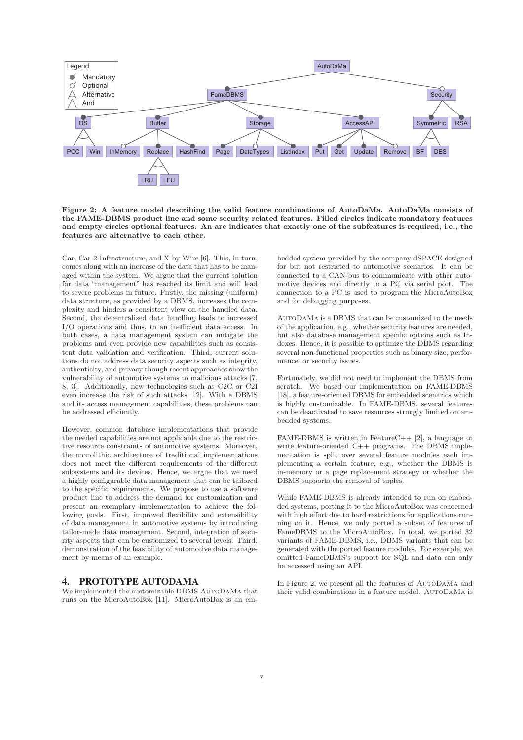

**Figure 2: A feature model describing the valid feature combinations of AutoDaMa. AutoDaMa consists of the FAME-DBMS product line and some security related features. Filled circles indicate mandatory features and empty circles optional features. An arc indicates that exactly one of the subfeatures is required, i.e., the features are alternative to each other.**

Car, Car-2-Infrastructure, and X-by-Wire [6]. This, in turn, comes along with an increase of the data that has to be managed within the system. We argue that the current solution for data "management" has reached its limit and will lead to severe problems in future. Firstly, the missing (uniform) data structure, as provided by a DBMS, increases the complexity and hinders a consistent view on the handled data. Second, the decentralized data handling leads to increased I/O operations and thus, to an inefficient data access. In both cases, a data management system can mitigate the problems and even provide new capabilities such as consistent data validation and verification. Third, current solutions do not address data security aspects such as integrity, authenticity, and privacy though recent approaches show the vulnerability of automotive systems to malicious attacks [7, 8, 3]. Additionally, new technologies such as C2C or C2I even increase the risk of such attacks [12]. With a DBMS and its access management capabilities, these problems can be addressed efficiently.

However, common database implementations that provide the needed capabilities are not applicable due to the restrictive resource constraints of automotive systems. Moreover, the monolithic architecture of traditional implementations does not meet the different requirements of the different subsystems and its devices. Hence, we argue that we need a highly configurable data management that can be tailored to the specific requirements. We propose to use a software product line to address the demand for customization and present an exemplary implementation to achieve the following goals. First, improved flexibility and extensibility of data management in automotive systems by introducing tailor-made data management. Second, integration of security aspects that can be customized to several levels. Third, demonstration of the feasibility of automotive data management by means of an example.

# 4. PROTOTYPE AUTODAMA

We implemented the customizable DBMS AutoDaMa that runs on the MicroAutoBox [11]. MicroAutoBox is an embedded system provided by the company dSPACE designed for but not restricted to automotive scenarios. It can be connected to a CAN-bus to communicate with other automotive devices and directly to a PC via serial port. The connection to a PC is used to program the MicroAutoBox and for debugging purposes.

AutoDaMa is a DBMS that can be customized to the needs of the application, e.g., whether security features are needed, but also database management specific options such as Indexes. Hence, it is possible to optimize the DBMS regarding several non-functional properties such as binary size, performance, or security issues.

Fortunately, we did not need to implement the DBMS from scratch. We based our implementation on FAME-DBMS [18], a feature-oriented DBMS for embedded scenarios which is highly customizable. In FAME-DBMS, several features can be deactivated to save resources strongly limited on embedded systems.

FAME-DBMS is written in FeatureC++  $[2]$ , a language to write feature-oriented C++ programs. The DBMS implementation is split over several feature modules each implementing a certain feature, e.g., whether the DBMS is in-memory or a page replacement strategy or whether the DBMS supports the removal of tuples.

While FAME-DBMS is already intended to run on embedded systems, porting it to the MicroAutoBox was concerned with high effort due to hard restrictions for applications running on it. Hence, we only ported a subset of features of FameDBMS to the MicroAutoBox. In total, we ported 32 variants of FAME-DBMS, i.e., DBMS variants that can be generated with the ported feature modules. For example, we omitted FameDBMS's support for SQL and data can only be accessed using an API.

In Figure 2, we present all the features of AutoDaMa and their valid combinations in a feature model. AutoDaMa is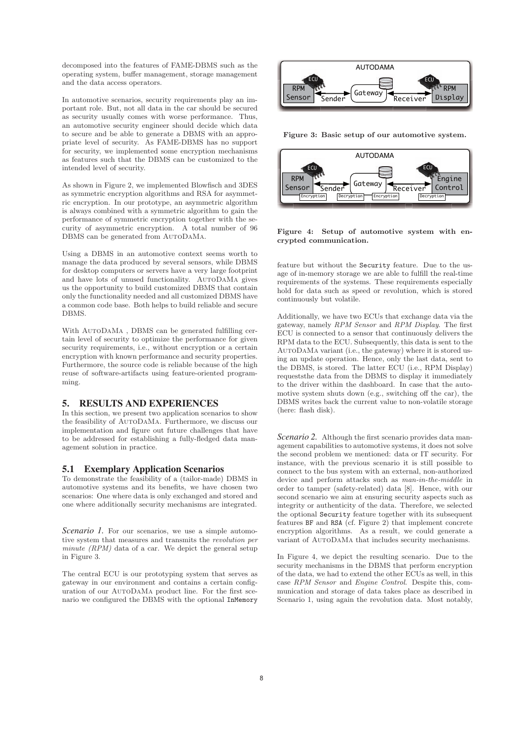decomposed into the features of FAME-DBMS such as the operating system, buffer management, storage management and the data access operators.

In automotive scenarios, security requirements play an important role. But, not all data in the car should be secured as security usually comes with worse performance. Thus, an automotive security engineer should decide which data to secure and be able to generate a DBMS with an appropriate level of security. As FAME-DBMS has no support for security, we implemented some encryption mechanisms as features such that the DBMS can be customized to the intended level of security.

As shown in Figure 2, we implemented Blowfisch and 3DES as symmetric encryption algorithms and RSA for asymmetric encryption. In our prototype, an asymmetric algorithm is always combined with a symmetric algorithm to gain the performance of symmetric encryption together with the security of asymmetric encryption. A total number of 96 DBMS can be generated from AutoDaMa.

Using a DBMS in an automotive context seems worth to manage the data produced by several sensors, while DBMS for desktop computers or servers have a very large footprint and have lots of unused functionality. AutoDaMa gives us the opportunity to build customized DBMS that contain only the functionality needed and all customized DBMS have a common code base. Both helps to build reliable and secure DBMS.

With AutoDaMa , DBMS can be generated fulfilling certain level of security to optimize the performance for given security requirements, i.e., without encryption or a certain encryption with known performance and security properties. Furthermore, the source code is reliable because of the high reuse of software-artifacts using feature-oriented programming.

# 5. RESULTS AND EXPERIENCES

In this section, we present two application scenarios to show the feasibility of AutoDaMa. Furthermore, we discuss our implementation and figure out future challenges that have to be addressed for establishing a fully-fledged data management solution in practice.

#### 5.1 Exemplary Application Scenarios

To demonstrate the feasibility of a (tailor-made) DBMS in automotive systems and its benefits, we have chosen two scenarios: One where data is only exchanged and stored and one where additionally security mechanisms are integrated.

*Scenario 1*. For our scenarios, we use a simple automotive system that measures and transmits the *revolution per minute (RPM)* data of a car. We depict the general setup in Figure 3.

The central ECU is our prototyping system that serves as gateway in our environment and contains a certain configuration of our AutoDaMa product line. For the first scenario we configured the DBMS with the optional InMemory



**Figure 3: Basic setup of our automotive system.**



**Figure 4: Setup of automotive system with encrypted communication.**

feature but without the Security feature. Due to the usage of in-memory storage we are able to fulfill the real-time requirements of the systems. These requirements especially hold for data such as speed or revolution, which is stored continuously but volatile.

Additionally, we have two ECUs that exchange data via the gateway, namely *RPM Sensor* and *RPM Display*. The first ECU is connected to a sensor that continuously delivers the RPM data to the ECU. Subsequently, this data is sent to the AutoDaMa variant (i.e., the gateway) where it is stored using an update operation. Hence, only the last data, sent to the DBMS, is stored. The latter ECU (i.e., RPM Display) requeststhe data from the DBMS to display it immediately to the driver within the dashboard. In case that the automotive system shuts down (e.g., switching off the car), the DBMS writes back the current value to non-volatile storage (here: flash disk).

*Scenario 2.* Although the first scenario provides data management capabilities to automotive systems, it does not solve the second problem we mentioned: data or IT security. For instance, with the previous scenario it is still possible to connect to the bus system with an external, non-authorized device and perform attacks such as *man-in-the-middle* in order to tamper (safety-related) data [8]. Hence, with our second scenario we aim at ensuring security aspects such as integrity or authenticity of the data. Therefore, we selected the optional Security feature together with its subsequent features BF and RSA (cf. Figure 2) that implement concrete encryption algorithms. As a result, we could generate a variant of AUTODAMA that includes security mechanisms.

In Figure 4, we depict the resulting scenario. Due to the security mechanisms in the DBMS that perform encryption of the data, we had to extend the other ECUs as well, in this case *RPM Sensor* and *Engine Control*. Despite this, communication and storage of data takes place as described in Scenario 1, using again the revolution data. Most notably,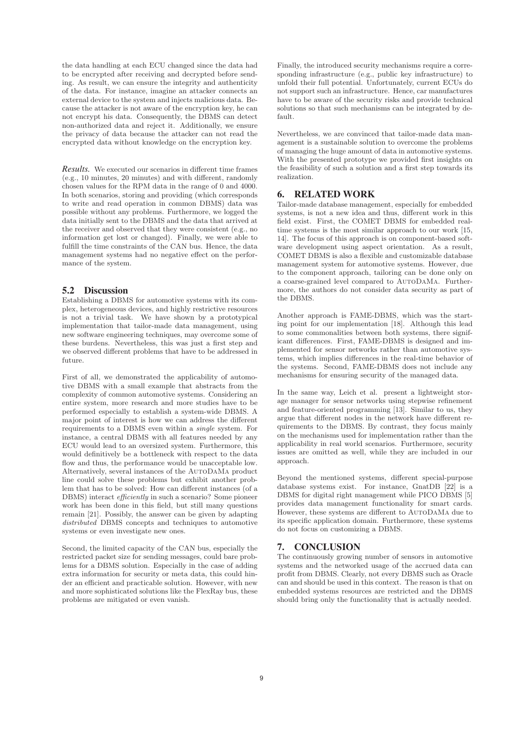the data handling at each ECU changed since the data had to be encrypted after receiving and decrypted before sending. As result, we can ensure the integrity and authenticity of the data. For instance, imagine an attacker connects an external device to the system and injects malicious data. Because the attacker is not aware of the encryption key, he can not encrypt his data. Consequently, the DBMS can detect non-authorized data and reject it. Additionally, we ensure the privacy of data because the attacker can not read the encrypted data without knowledge on the encryption key.

*Results.* We executed our scenarios in different time frames (e.g., 10 minutes, 20 minutes) and with different, randomly chosen values for the RPM data in the range of 0 and 4000. In both scenarios, storing and providing (which corresponds to write and read operation in common DBMS) data was possible without any problems. Furthermore, we logged the data initially sent to the DBMS and the data that arrived at the receiver and observed that they were consistent (e.g., no information get lost or changed). Finally, we were able to fulfill the time constraints of the CAN bus. Hence, the data management systems had no negative effect on the performance of the system.

## 5.2 Discussion

Establishing a DBMS for automotive systems with its complex, heterogeneous devices, and highly restrictive resources is not a trivial task. We have shown by a prototypical implementation that tailor-made data management, using new software engineering techniques, may overcome some of these burdens. Nevertheless, this was just a first step and we observed different problems that have to be addressed in future.

First of all, we demonstrated the applicability of automotive DBMS with a small example that abstracts from the complexity of common automotive systems. Considering an entire system, more research and more studies have to be performed especially to establish a system-wide DBMS. A major point of interest is how we can address the different requirements to a DBMS even within a *single* system. For instance, a central DBMS with all features needed by any ECU would lead to an oversized system. Furthermore, this would definitively be a bottleneck with respect to the data flow and thus, the performance would be unacceptable low. Alternatively, several instances of the AutoDaMa product line could solve these problems but exhibit another problem that has to be solved: How can different instances (of a DBMS) interact *efficiently* in such a scenario? Some pioneer work has been done in this field, but still many questions remain [21]. Possibly, the answer can be given by adapting *distributed* DBMS concepts and techniques to automotive systems or even investigate new ones.

Second, the limited capacity of the CAN bus, especially the restricted packet size for sending messages, could bare problems for a DBMS solution. Especially in the case of adding extra information for security or meta data, this could hinder an efficient and practicable solution. However, with new and more sophisticated solutions like the FlexRay bus, these problems are mitigated or even vanish.

Finally, the introduced security mechanisms require a corresponding infrastructure (e.g., public key infrastructure) to unfold their full potential. Unfortunately, current ECUs do not support such an infrastructure. Hence, car manufactures have to be aware of the security risks and provide technical solutions so that such mechanisms can be integrated by default.

Nevertheless, we are convinced that tailor-made data management is a sustainable solution to overcome the problems of managing the huge amount of data in automotive systems. With the presented prototype we provided first insights on the feasibility of such a solution and a first step towards its realization.

#### 6. RELATED WORK

Tailor-made database management, especially for embedded systems, is not a new idea and thus, different work in this field exist. First, the COMET DBMS for embedded realtime systems is the most similar approach to our work [15, 14]. The focus of this approach is on component-based software development using aspect orientation. As a result, COMET DBMS is also a flexible and customizable database management system for automotive systems. However, due to the component approach, tailoring can be done only on a coarse-grained level compared to AutoDaMa. Furthermore, the authors do not consider data security as part of the DBMS.

Another approach is FAME-DBMS, which was the starting point for our implementation [18]. Although this lead to some commonalities between both systems, there significant differences. First, FAME-DBMS is designed and implemented for sensor networks rather than automotive systems, which implies differences in the real-time behavior of the systems. Second, FAME-DBMS does not include any mechanisms for ensuring security of the managed data.

In the same way, Leich et al. present a lightweight storage manager for sensor networks using stepwise refinement and feature-oriented programming [13]. Similar to us, they argue that different nodes in the network have different requirements to the DBMS. By contrast, they focus mainly on the mechanisms used for implementation rather than the applicability in real world scenarios. Furthermore, security issues are omitted as well, while they are included in our approach.

Beyond the mentioned systems, different special-purpose database systems exist. For instance, GnatDB [22] is a DBMS for digital right management while PICO DBMS [5] provides data management functionality for smart cards. However, these systems are different to AutoDaMa due to its specific application domain. Furthermore, these systems do not focus on customizing a DBMS.

## 7. CONCLUSION

The continuously growing number of sensors in automotive systems and the networked usage of the accrued data can profit from DBMS. Clearly, not every DBMS such as Oracle can and should be used in this context. The reason is that on embedded systems resources are restricted and the DBMS should bring only the functionality that is actually needed.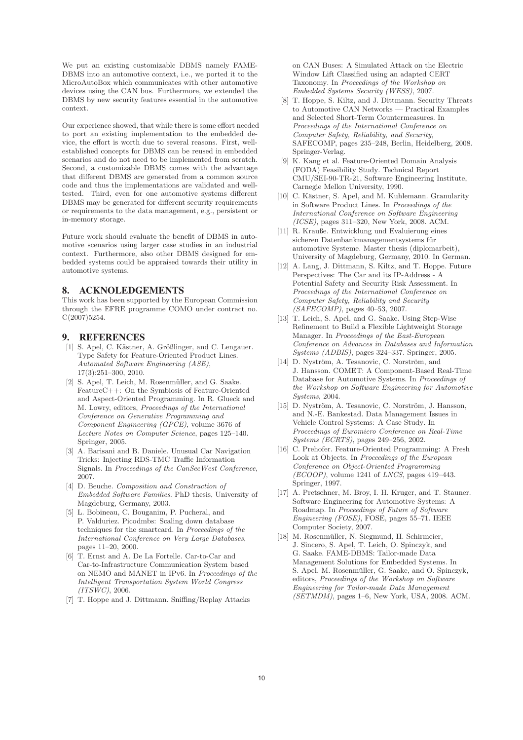We put an existing customizable DBMS namely FAME-DBMS into an automotive context, i.e., we ported it to the MicroAutoBox which communicates with other automotive devices using the CAN bus. Furthermore, we extended the DBMS by new security features essential in the automotive context.

Our experience showed, that while there is some effort needed to port an existing implementation to the embedded device, the effort is worth due to several reasons. First, wellestablished concepts for DBMS can be reused in embedded scenarios and do not need to be implemented from scratch. Second, a customizable DBMS comes with the advantage that different DBMS are generated from a common source code and thus the implementations are validated and welltested. Third, even for one automotive systems different DBMS may be generated for different security requirements or requirements to the data management, e.g., persistent or in-memory storage.

Future work should evaluate the benefit of DBMS in automotive scenarios using larger case studies in an industrial context. Furthermore, also other DBMS designed for embedded systems could be appraised towards their utility in automotive systems.

# 8. ACKNOLEDGEMENTS

This work has been supported by the European Commission through the EFRE programme COMO under contract no. C(2007)5254.

#### **REFERENCES**

- [1] S. Apel, C. Kästner, A. Größlinger, and C. Lengauer. Type Safety for Feature-Oriented Product Lines. *Automated Software Engineering (ASE)*, 17(3):251–300, 2010.
- [2] S. Apel, T. Leich, M. Rosenmüller, and G. Saake. FeatureC++: On the Symbiosis of Feature-Oriented and Aspect-Oriented Programming. In R. Glueck and M. Lowry, editors, *Proceedings of the International Conference on Generative Programming and Component Engineering (GPCE)*, volume 3676 of *Lecture Notes on Computer Science*, pages 125–140. Springer, 2005.
- [3] A. Barisani and B. Daniele. Unusual Car Navigation Tricks: Injecting RDS-TMC Traffic Information Signals. In *Proceedings of the CanSecWest Conference*, 2007.
- [4] D. Beuche. *Composition and Construction of Embedded Software Families*. PhD thesis, University of Magdeburg, Germany, 2003.
- [5] L. Bobineau, C. Bouganim, P. Pucheral, and P. Valduriez. Picodmbs: Scaling down database techniques for the smartcard. In *Proceedings of the International Conference on Very Large Databases*, pages 11–20, 2000.
- [6] T. Ernst and A. De La Fortelle. Car-to-Car and Car-to-Infrastructure Communication System based on NEMO and MANET in IPv6. In *Proceedings of the Intelligent Transportation System World Congress (ITSWC)*, 2006.
- [7] T. Hoppe and J. Dittmann. Sniffing/Replay Attacks

on CAN Buses: A Simulated Attack on the Electric Window Lift Classified using an adapted CERT Taxonomy. In *Proceedings of the Workshop on Embedded Systems Security (WESS)*, 2007.

- [8] T. Hoppe, S. Kiltz, and J. Dittmann. Security Threats to Automotive CAN Networks — Practical Examples and Selected Short-Term Countermeasures. In *Proceedings of the International Conference on Computer Safety, Reliability, and Security*, SAFECOMP, pages 235–248, Berlin, Heidelberg, 2008. Springer-Verlag.
- [9] K. Kang et al. Feature-Oriented Domain Analysis (FODA) Feasibility Study. Technical Report CMU/SEI-90-TR-21, Software Engineering Institute, Carnegie Mellon University, 1990.
- [10] C. Kästner, S. Apel, and M. Kuhlemann. Granularity in Software Product Lines. In *Proceedings of the International Conference on Software Engineering (ICSE)*, pages 311–320, New York, 2008. ACM.
- [11] R. Krauße. Entwicklung und Evaluierung eines sicheren Datenbankmanagementsystems für automotive Systeme. Master thesis (diplomarbeit), University of Magdeburg, Germany, 2010. In German.
- [12] A. Lang, J. Dittmann, S. Kiltz, and T. Hoppe. Future Perspectives: The Car and its IP-Address - A Potential Safety and Security Risk Assessment. In *Proceedings of the International Conference on Computer Safety, Reliability and Security (SAFECOMP)*, pages 40–53, 2007.
- [13] T. Leich, S. Apel, and G. Saake. Using Step-Wise Refinement to Build a Flexible Lightweight Storage Manager. In *Proceedings of the East-European Conference on Advances in Databases and Information Systems (ADBIS)*, pages 324–337. Springer, 2005.
- [14] D. Nyström, A. Tesanovic, C. Norström, and J. Hansson. COMET: A Component-Based Real-Time Database for Automotive Systems. In *Proceedings of the Workshop on Software Engineering for Automotive Systems*, 2004.
- [15] D. Nyström, A. Tesanovic, C. Norström, J. Hansson, and N.-E. Bankestad. Data Management Issues in Vehicle Control Systems: A Case Study. In *Proceedings of Euromicro Conference on Real-Time Systems (ECRTS)*, pages 249–256, 2002.
- [16] C. Prehofer. Feature-Oriented Programming: A Fresh Look at Objects. In *Proceedings of the European Conference on Object-Oriented Programming (ECOOP)*, volume 1241 of *LNCS*, pages 419–443. Springer, 1997.
- [17] A. Pretschner, M. Broy, I. H. Kruger, and T. Stauner. Software Engineering for Automotive Systems: A Roadmap. In *Proceedings of Future of Software Engineering (FOSE)*, FOSE, pages 55–71. IEEE Computer Society, 2007.
- $\left\lceil 18\right\rceil$  M. Rosenmüller, N. Siegmund, H. Schirmeier, J. Sincero, S. Apel, T. Leich, O. Spinczyk, and G. Saake. FAME-DBMS: Tailor-made Data Management Solutions for Embedded Systems. In S. Apel, M. Rosenmüller, G. Saake, and O. Spinczyk, editors, *Proceedings of the Workshop on Software Engineering for Tailor-made Data Management (SETMDM)*, pages 1–6, New York, USA, 2008. ACM.